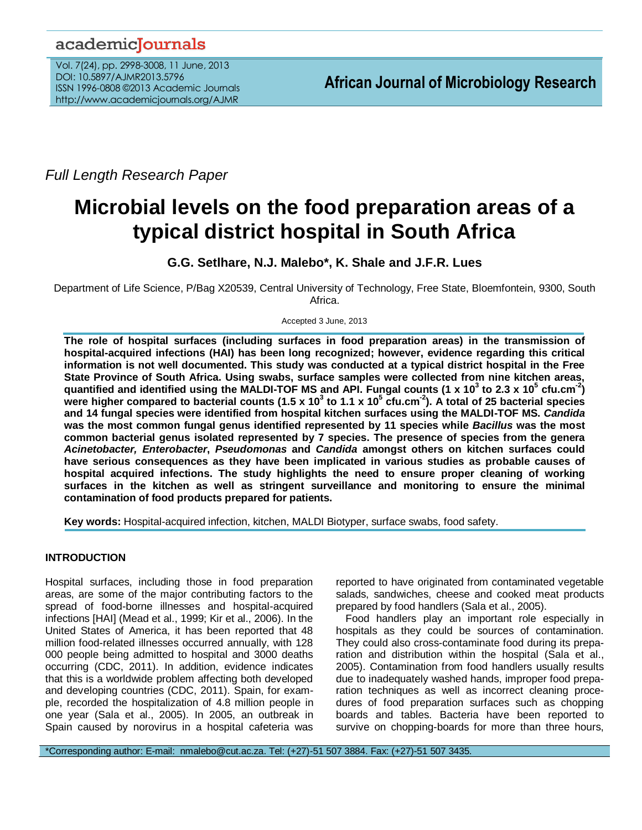# academicJournals

Vol. 7(24), pp. 2998-3008, 11 June, 2013 DOI: 10.5897/AJMR2013.5796 ISSN 1996-0808 ©2013 Academic Journals http://www.academicjournals.org/AJMR

*Full Length Research Paper*

# **Microbial levels on the food preparation areas of a typical district hospital in South Africa**

**G.G. Setlhare, N.J. Malebo\*, K. Shale and J.F.R. Lues**

Department of Life Science, P/Bag X20539, Central University of Technology, Free State, Bloemfontein, 9300, South Africa.

Accepted 3 June, 2013

**The role of hospital surfaces (including surfaces in food preparation areas) in the transmission of hospital-acquired infections (HAI) has been long recognized; however, evidence regarding this critical information is not well documented. This study was conducted at a typical district hospital in the Free State Province of South Africa. Using swabs, surface samples were collected from nine kitchen areas, quantified and identified using the MALDI-TOF MS and API. Fungal counts (1 x 10<sup>3</sup> to 2.3 x 10<sup>5</sup> cfu.cm-2 ) were higher compared to bacterial counts (1.5 x 10<sup>3</sup> to 1.1 x 10<sup>5</sup> cfu.cm-2 ). A total of 25 bacterial species and 14 fungal species were identified from hospital kitchen surfaces using the MALDI-TOF MS.** *Candida* **was the most common fungal genus identified represented by 11 species while** *Bacillus* **was the most common bacterial genus isolated represented by 7 species. The presence of species from the genera** *Acinetobacter, Enterobacter***,** *Pseudomonas* **and** *Candida* **amongst others on kitchen surfaces could have serious consequences as they have been implicated in various studies as probable causes of hospital acquired infections. The study highlights the need to ensure proper cleaning of working surfaces in the kitchen as well as stringent surveillance and monitoring to ensure the minimal contamination of food products prepared for patients.** 

**Key words:** Hospital-acquired infection, kitchen, MALDI Biotyper, surface swabs, food safety.

# **INTRODUCTION**

Hospital surfaces, including those in food preparation areas, are some of the major contributing factors to the spread of food-borne illnesses and hospital-acquired infections [HAI] (Mead et al., 1999; Kir et al., 2006). In the United States of America, it has been reported that 48 million food-related illnesses occurred annually, with 128 000 people being admitted to hospital and 3000 deaths occurring (CDC, 2011). In addition, evidence indicates that this is a worldwide problem affecting both developed and developing countries (CDC, 2011). Spain, for example, recorded the hospitalization of 4.8 million people in one year (Sala et al., 2005). In 2005, an outbreak in Spain caused by norovirus in a hospital cafeteria was

reported to have originated from contaminated vegetable salads, sandwiches, cheese and cooked meat products prepared by food handlers (Sala et al., 2005).

Food handlers play an important role especially in hospitals as they could be sources of contamination. They could also cross-contaminate food during its preparation and distribution within the hospital (Sala et al., 2005). Contamination from food handlers usually results due to inadequately washed hands, improper food preparation techniques as well as incorrect cleaning procedures of food preparation surfaces such as chopping boards and tables. Bacteria have been reported to survive on chopping-boards for more than three hours,

\*Corresponding author: E-mail: [nmalebo@cut.ac.za.](mailto:nmalebo@cut.ac.za) Tel: (+27)-51 507 3884. Fax: (+27)-51 507 3435.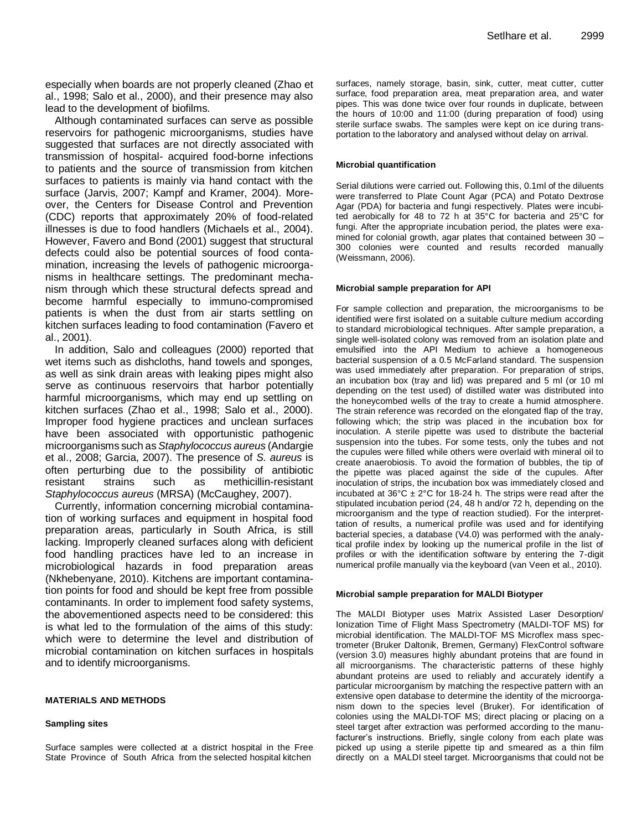especially when boards are not properly cleaned (Zhao et al., 1998; Salo et al., 2000), and their presence may also lead to the development of biofilms.

Although contaminated surfaces can serve as possible reservoirs for pathogenic microorganisms, studies have suggested that surfaces are not directly associated with transmission of hospital- acquired food-borne infections to patients and the source of transmission from kitchen surfaces to patients is mainly via hand contact with the surface (Jarvis, 2007; Kampf and Kramer, 2004). Moreover, the Centers for Disease Control and Prevention (CDC) reports that approximately 20% of food-related illnesses is due to food handlers (Michaels et al., 2004). However, Favero and Bond (2001) suggest that structural defects could also be potential sources of food contamination, increasing the levels of pathogenic microorganisms in healthcare settings. The predominant mechanism through which these structural defects spread and become harmful especially to immuno-compromised patients is when the dust from air starts settling on kitchen surfaces leading to food contamination (Favero et al., 2001).

In addition, Salo and colleagues (2000) reported that wet items such as dishcloths, hand towels and sponges, as well as sink drain areas with leaking pipes might also serve as continuous reservoirs that harbor potentially harmful microorganisms, which may end up settling on kitchen surfaces (Zhao et al., 1998; Salo et al., 2000). Improper food hygiene practices and unclean surfaces have been associated with opportunistic pathogenic microorganisms such as*Staphylococcus aureus* (Andargie et al., 2008; Garcia, 2007). The presence of *S. aureus* is often perturbing due to the possibility of antibiotic resistant strains such as methicillin-resistant *Staphylococcus aureus* (MRSA) (McCaughey, 2007).

Currently, information concerning microbial contamination of working surfaces and equipment in hospital food preparation areas, particularly in South Africa, is still lacking. Improperly cleaned surfaces along with deficient food handling practices have led to an increase in microbiological hazards in food preparation areas (Nkhebenyane, 2010). Kitchens are important contamination points for food and should be kept free from possible contaminants. In order to implement food safety systems, the abovementioned aspects need to be considered: this is what led to the formulation of the aims of this study: which were to determine the level and distribution of microbial contamination on kitchen surfaces in hospitals and to identify microorganisms.

#### **MATERIALS AND METHODS**

#### **Sampling sites**

Surface samples were collected at a district hospital in the Free State Province of South Africa from the selected hospital kitchen

surfaces, namely storage, basin, sink, cutter, meat cutter, cutter surface, food preparation area, meat preparation area, and water pipes. This was done twice over four rounds in duplicate, between the hours of 10:00 and 11:00 (during preparation of food) using sterile surface swabs. The samples were kept on ice during transportation to the laboratory and analysed without delay on arrival.

#### **Microbial quantification**

Serial dilutions were carried out. Following this, 0.1ml of the diluents were transferred to Plate Count Agar (PCA) and Potato Dextrose Agar (PDA) for bacteria and fungi respectively. Plates were incubited aerobically for 48 to 72 h at 35°C for bacteria and 25°C for fungi. After the appropriate incubation period, the plates were examined for colonial growth, agar plates that contained between 30 – 300 colonies were counted and results recorded manually (Weissmann, 2006).

#### **Microbial sample preparation for API**

For sample collection and preparation, the microorganisms to be identified were first isolated on a suitable culture medium according to standard microbiological techniques. After sample preparation, a single well-isolated colony was removed from an isolation plate and emulsified into the API Medium to achieve a homogeneous bacterial suspension of a 0.5 McFarland standard. The suspension was used immediately after preparation. For preparation of strips, an incubation box (tray and lid) was prepared and 5 ml (or 10 ml depending on the test used) of distilled water was distributed into the honeycombed wells of the tray to create a humid atmosphere. The strain reference was recorded on the elongated flap of the tray, following which; the strip was placed in the incubation box for inoculation. A sterile pipette was used to distribute the bacterial suspension into the tubes. For some tests, only the tubes and not the cupules were filled while others were overlaid with mineral oil to create anaerobiosis. To avoid the formation of bubbles, the tip of the pipette was placed against the side of the cupules. After inoculation of strips, the incubation box was immediately closed and incubated at  $36^{\circ}$ C  $\pm$  2°C for 18-24 h. The strips were read after the stipulated incubation period (24, 48 h and/or 72 h, depending on the microorganism and the type of reaction studied). For the interprettation of results, a numerical profile was used and for identifying bacterial species, a database (V4.0) was performed with the analytical profile index by looking up the numerical profile in the list of profiles or with the identification software by entering the 7-digit numerical profile manually via the keyboard (van Veen et al., 2010).

#### **Microbial sample preparation for MALDI Biotyper**

The MALDI Biotyper uses Matrix Assisted Laser Desorption/ Ionization Time of Flight Mass Spectrometry (MALDI-TOF MS) for microbial identification. The MALDI-TOF MS Microflex mass spectrometer (Bruker Daltonik, Bremen, Germany) FlexControl software (version 3.0) measures highly abundant proteins that are found in all microorganisms. The characteristic patterns of these highly abundant proteins are used to reliably and accurately identify a particular microorganism by matching the respective pattern with an extensive open database to determine the identity of the microorganism down to the species level (Bruker). For identification of colonies using the MALDI-TOF MS; direct placing or placing on a steel target after extraction was performed according to the manufacturer's instructions. Briefly, single colony from each plate was picked up using a sterile pipette tip and smeared as a thin film directly on a MALDI steel target. Microorganisms that could not be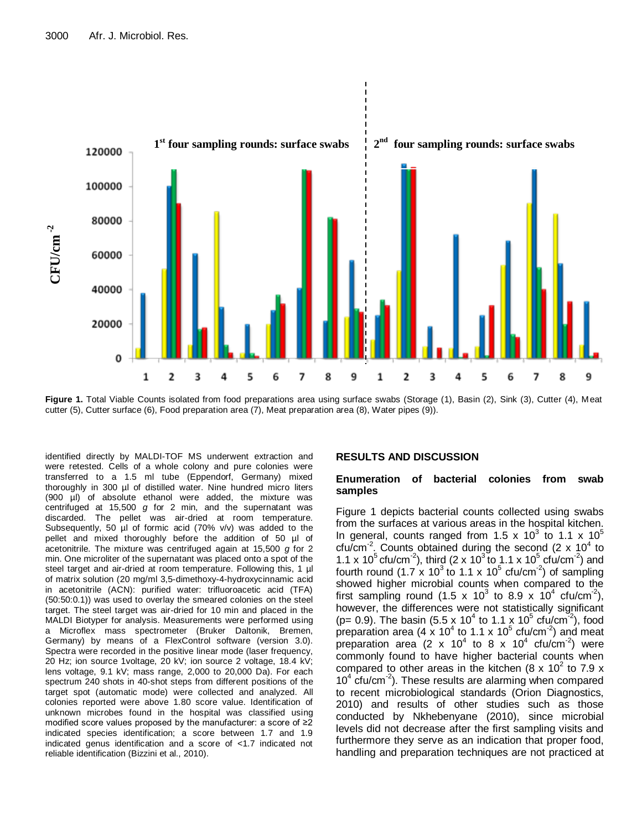

**Figure 1.** Total Viable Counts isolated from food preparations area using surface swabs (Storage (1), Basin (2), Sink (3), Cutter (4), Meat cutter (5), Cutter surface (6), Food preparation area (7), Meat preparation area (8), Water pipes (9)).

identified directly by MALDI-TOF MS underwent extraction and were retested. Cells of a whole colony and pure colonies were transferred to a 1.5 ml tube (Eppendorf, Germany) mixed thoroughly in 300 µl of distilled water. Nine hundred micro liters (900 µl) of absolute ethanol were added, the mixture was centrifuged at 15,500 *g* for 2 min, and the supernatant was discarded. The pellet was air-dried at room temperature. Subsequently, 50 µl of formic acid (70% v/v) was added to the pellet and mixed thoroughly before the addition of 50 µl of acetonitrile. The mixture was centrifuged again at 15,500 *g* for 2 min. One microliter of the supernatant was placed onto a spot of the steel target and air-dried at room temperature. Following this, 1 µl of matrix solution (20 [mg/ml](http://en.wikipedia.org/wiki/Milligram_per_liter) 3,5-dimethoxy-4-hydroxycinnamic [acid](http://en.wikipedia.org/wiki/Acid) in acetonitrile (ACN): purified water: trifluoroacetic acid (TFA) (50:50:0.1)) was used to overlay the smeared colonies on the steel target. The steel target was air-dried for 10 min and placed in the MALDI Biotyper for analysis. Measurements were performed using a Microflex mass spectrometer (Bruker Daltonik, Bremen, Germany) by means of a FlexControl software (version 3.0). Spectra were recorded in the positive linear mode (laser frequency, 20 Hz; ion source 1voltage, 20 kV; ion source 2 voltage, 18.4 kV; lens voltage, 9.1 kV; mass range, 2,000 to 20,000 Da). For each spectrum 240 shots in 40-shot steps from different positions of the target spot (automatic mode) were collected and analyzed. All colonies reported were above 1.80 score value. Identification of unknown microbes found in the hospital was classified using modified score values proposed by the manufacturer: a score of ≥2 indicated species identification; a score between 1.7 and 1.9 indicated genus identification and a score of <1.7 indicated not reliable identification (Bizzini et al., 2010).

### **RESULTS AND DISCUSSION**

#### **Enumeration of bacterial colonies from swab samples**

Figure 1 depicts bacterial counts collected using swabs from the surfaces at various areas in the hospital kitchen. In general, counts ranged from 1.5 x 10<sup>3</sup> to 1.1 x 10<sup>5</sup> cfu/cm<sup>-2</sup>. Counts obtained during the second (2 x 10<sup>4</sup> to 1.1 x 10<sup>5</sup> cfu/cm<sup>-2</sup>), third (2 x 10<sup>3</sup> to 1.1 x 10<sup>5</sup> cfu/cm<sup>-2</sup>) and fourth round (1.7 x 10<sup>3</sup> to 1.1 x 10<sup>5</sup> cfu/cm<sup>-2</sup>) of sampling showed higher microbial counts when compared to the first sampling round (1.5 x 10<sup>3</sup> to 8.9 x 10<sup>4</sup> cfu/cm<sup>-2</sup>), however, the differences were not statistically significant (p= 0.9). The basin (5.5 x 10<sup>4</sup> to 1.1 x 10<sup>5</sup> cfu/cm<sup>-2</sup>), food preparation area (4 x 10<sup>4</sup> to 1.1 x 10<sup>5</sup> cfu/cm<sup>-2</sup>) and meat preparation area (2 x 10<sup>4</sup> to 8 x 10<sup>4</sup> cfu/cm<sup>-2</sup>) were commonly found to have higher bacterial counts when compared to other areas in the kitchen (8 x 10<sup>2</sup> to 7.9 x  $10<sup>4</sup>$  cfu/cm<sup>-2</sup>). These results are alarming when compared to recent microbiological standards (Orion Diagnostics, 2010) and results of other studies such as those conducted by Nkhebenyane (2010), since microbial levels did not decrease after the first sampling visits and furthermore they serve as an indication that proper food, handling and preparation techniques are not practiced at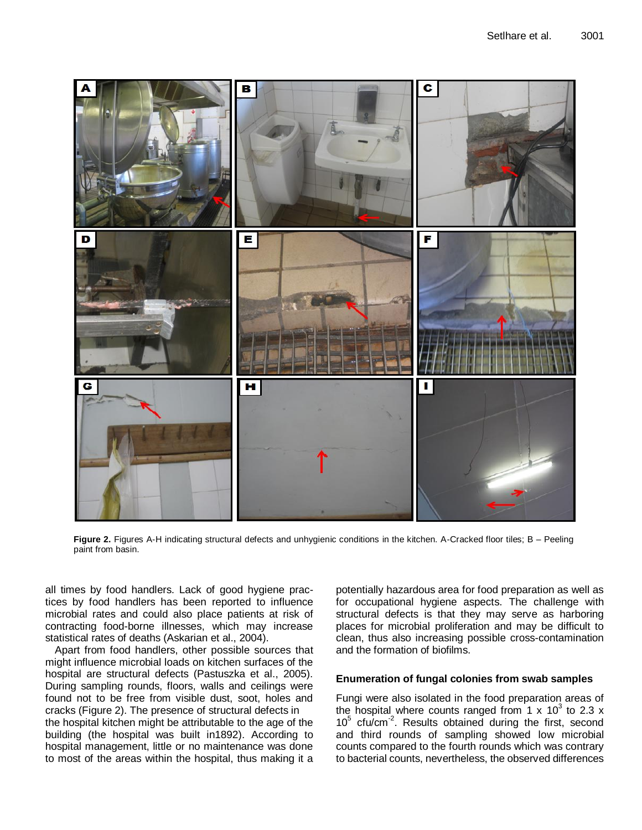

**Figure 2.** Figures A-H indicating structural defects and unhygienic conditions in the kitchen. A-Cracked floor tiles; B – Peeling paint from basin.

all times by food handlers. Lack of good hygiene practices by food handlers has been reported to influence microbial rates and could also place patients at risk of contracting food-borne illnesses, which may increase statistical rates of deaths (Askarian et al., 2004).

Apart from food handlers, other possible sources that might influence microbial loads on kitchen surfaces of the hospital are structural defects (Pastuszka et al., 2005). During sampling rounds, floors, walls and ceilings were found not to be free from visible dust, soot, holes and cracks (Figure 2). The presence of structural defects in the hospital kitchen might be attributable to the age of the building (the hospital was built in1892). According to hospital management, little or no maintenance was done to most of the areas within the hospital, thus making it a potentially hazardous area for food preparation as well as for occupational hygiene aspects. The challenge with structural defects is that they may serve as harboring places for microbial proliferation and may be difficult to clean, thus also increasing possible cross-contamination and the formation of biofilms.

# **Enumeration of fungal colonies from swab samples**

Fungi were also isolated in the food preparation areas of the hospital where counts ranged from 1 x 10<sup>3</sup> to 2.3 x 10<sup>5</sup> cfu/cm<sup>-2</sup>. Results obtained during the first, second and third rounds of sampling showed low microbial counts compared to the fourth rounds which was contrary to bacterial counts, nevertheless, the observed differences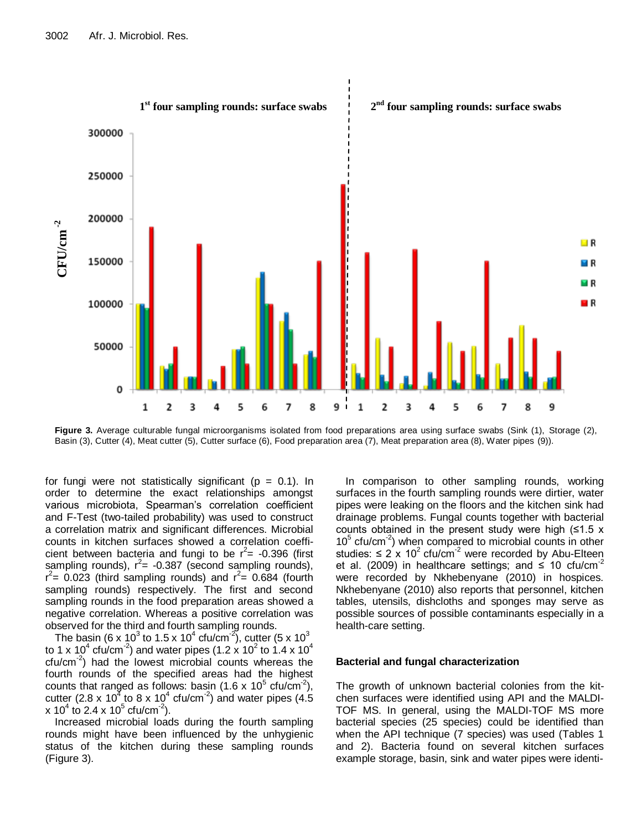

Figure 3. Average culturable fungal microorganisms isolated from food preparations area using surface swabs (Sink (1), Storage (2), Basin (3), Cutter (4), Meat cutter (5), Cutter surface (6), Food preparation area (7), Meat preparation area (8), Water pipes (9)).

for fungi were not statistically significant ( $p = 0.1$ ). In order to determine the exact relationships amongst various microbiota, Spearman's correlation coefficient and F-Test (two-tailed probability) was used to construct a correlation matrix and significant differences. Microbial counts in kitchen surfaces showed a correlation coefficient between bacteria and fungi to be  $r^2$  = -0.396 (first sampling rounds),  $r^2$  = -0.387 (second sampling rounds),  $r^2$  = 0.023 (third sampling rounds) and  $r^2$  = 0.684 (fourth sampling rounds) respectively. The first and second sampling rounds in the food preparation areas showed a negative correlation. Whereas a positive correlation was observed for the third and fourth sampling rounds.

The basin (6 x 10<sup>3</sup> to 1.5 x 10<sup>4</sup> cfu/cm<sup>-2</sup>), cutter (5 x 10<sup>3</sup> to 1 x 10<sup>4</sup> cfu/cm<sup>-2</sup>) and water pipes (1.2 x 10<sup>2</sup> to 1.4 x 10<sup>4</sup> cfu/cm<sup>-2</sup>) had the lowest microbial counts whereas the fourth rounds of the specified areas had the highest counts that ranged as follows: basin (1.6 x 10 $5$  cfu/cm<sup>-2</sup>), cutter (2.8 x 10<sup>4</sup> to 8 x 10<sup>4</sup> cfu/cm<sup>-2</sup>) and water pipes (4.5 x 10<sup>4</sup> to 2.4 x 10<sup>5</sup> cfu/cm<sup>-2</sup>).

Increased microbial loads during the fourth sampling rounds might have been influenced by the unhygienic status of the kitchen during these sampling rounds (Figure 3).

In comparison to other sampling rounds, working surfaces in the fourth sampling rounds were dirtier, water pipes were leaking on the floors and the kitchen sink had drainage problems. Fungal counts together with bacterial counts obtained in the present study were high  $(≤1.5 x)$ 10<sup>5</sup> cfu/cm<sup>-2</sup>) when compared to microbial counts in other studies:  $\leq 2 \times 10^2$  cfu/cm<sup>-2</sup> were recorded by Abu-Elteen et al. (2009) in healthcare settings; and  $\leq$  10 cfu/cm<sup>-2</sup> were recorded by Nkhebenyane (2010) in hospices. Nkhebenyane (2010) also reports that personnel, kitchen tables, utensils, dishcloths and sponges may serve as possible sources of possible contaminants especially in a health-care setting.

#### **Bacterial and fungal characterization**

The growth of unknown bacterial colonies from the kitchen surfaces were identified using API and the MALDI-TOF MS. In general, using the MALDI-TOF MS more bacterial species (25 species) could be identified than when the API technique (7 species) was used (Tables 1 and 2). Bacteria found on several kitchen surfaces example storage, basin, sink and water pipes were identi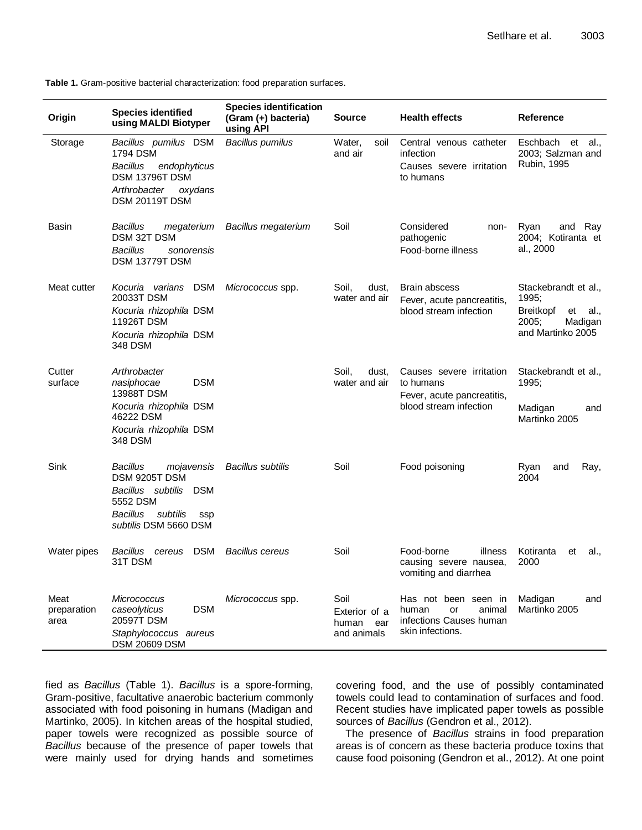**Table 1.** Gram-positive bacterial characterization: food preparation surfaces.

| Origin                      | <b>Species identified</b><br>using MALDI Biotyper                                                                                                                   | <b>Species identification</b><br>(Gram (+) bacteria)<br>using API | <b>Source</b>                                        | <b>Health effects</b>                                                                         | Reference                                                                                                |
|-----------------------------|---------------------------------------------------------------------------------------------------------------------------------------------------------------------|-------------------------------------------------------------------|------------------------------------------------------|-----------------------------------------------------------------------------------------------|----------------------------------------------------------------------------------------------------------|
| Storage                     | Bacillus pumilus DSM<br>1794 DSM<br><b>Bacillus</b><br>endophyticus<br>DSM 13796T DSM<br>Arthrobacter<br>oxydans<br><b>DSM 20119T DSM</b>                           | <b>Bacillus pumilus</b>                                           | Water,<br>soil<br>and air                            | Central venous catheter<br>infection<br>Causes severe irritation<br>to humans                 | Eschbach et<br>al.,<br>2003; Salzman and<br>Rubin, 1995                                                  |
| Basin                       | <b>Bacillus</b><br>megaterium<br>DSM 32T DSM<br><b>Bacillus</b><br>sonorensis<br>DSM 13779T DSM                                                                     | <b>Bacillus megaterium</b>                                        | Soil                                                 | Considered<br>non-<br>pathogenic<br>Food-borne illness                                        | and Ray<br>Ryan<br>2004; Kotiranta et<br>al., 2000                                                       |
| Meat cutter                 | Kocuria varians DSM<br>20033T DSM<br>Kocuria rhizophila DSM<br>11926T DSM<br>Kocuria rhizophila DSM<br>348 DSM                                                      | Micrococcus spp.                                                  | Soil,<br>dust.<br>water and air                      | <b>Brain abscess</b><br>Fever, acute pancreatitis,<br>blood stream infection                  | Stackebrandt et al.,<br>1995;<br><b>Breitkopf</b><br>et<br>al.,<br>2005;<br>Madigan<br>and Martinko 2005 |
| Cutter<br>surface           | Arthrobacter<br><b>DSM</b><br>nasiphocae<br>13988T DSM<br>Kocuria rhizophila DSM<br>46222 DSM<br>Kocuria rhizophila DSM<br>348 DSM                                  |                                                                   | Soil,<br>dust.<br>water and air                      | Causes severe irritation<br>to humans<br>Fever, acute pancreatitis,<br>blood stream infection | Stackebrandt et al.,<br>1995;<br>Madigan<br>and<br>Martinko 2005                                         |
| Sink                        | <b>Bacillus</b><br>mojavensis<br>DSM 9205T DSM<br>Bacillus subtilis<br><b>DSM</b><br>5552 DSM<br><b>Bacillus</b><br>subtilis<br><b>SSD</b><br>subtilis DSM 5660 DSM | <b>Bacillus subtilis</b>                                          | Soil                                                 | Food poisoning                                                                                | Ryan<br>Ray,<br>and<br>2004                                                                              |
| Water pipes                 | DSM<br>Bacillus<br>cereus<br>31T DSM                                                                                                                                | <b>Bacillus cereus</b>                                            | Soil                                                 | Food-borne<br>illness<br>causing severe nausea,<br>vomiting and diarrhea                      | Kotiranta<br>et<br>al.,<br>2000                                                                          |
| Meat<br>preparation<br>area | Micrococcus<br><b>DSM</b><br>caseolyticus<br>20597T DSM<br>Staphylococcus aureus<br><b>DSM 20609 DSM</b>                                                            | Micrococcus spp.                                                  | Soil<br>Exterior of a<br>human<br>ear<br>and animals | Has not been seen in<br>animal<br>human<br>or<br>infections Causes human<br>skin infections.  | Madigan<br>and<br>Martinko 2005                                                                          |

fied as *Bacillus* (Table 1). *Bacillus* is a spore-forming, Gram-positive, facultative anaerobic bacterium commonly associated with food poisoning in humans (Madigan and Martinko, 2005). In kitchen areas of the hospital studied, paper towels were recognized as possible source of *Bacillus* because of the presence of paper towels that were mainly used for drying hands and sometimes

covering food, and the use of possibly contaminated towels could lead to contamination of surfaces and food. Recent studies have implicated paper towels as possible sources of *Bacillus* (Gendron et al., 2012).

The presence of *Bacillus* strains in food preparation areas is of concern as these bacteria produce toxins that cause food poisoning (Gendron et al., 2012). At one point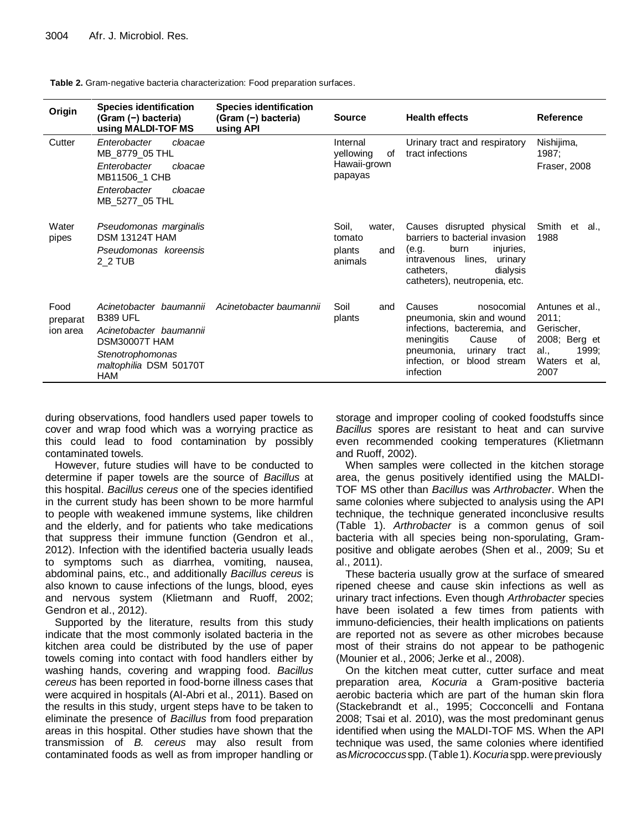| Origin                       | <b>Species identification</b><br>(Gram (-) bacteria)<br>using MALDI-TOF MS                                                                         | <b>Species identification</b><br>(Gram (-) bacteria)<br>using API | Source                                                 | <b>Health effects</b>                                                                                                                                                                         | <b>Reference</b>                                                                                     |
|------------------------------|----------------------------------------------------------------------------------------------------------------------------------------------------|-------------------------------------------------------------------|--------------------------------------------------------|-----------------------------------------------------------------------------------------------------------------------------------------------------------------------------------------------|------------------------------------------------------------------------------------------------------|
| Cutter                       | Enterobacter<br>cloacae<br>MB_8779_05 THL<br>Enterobacter<br>cloacae<br>MB11506_1 CHB<br>Enterobacter<br>cloacae<br>MB_5277_05 THL                 |                                                                   | Internal<br>vellowing<br>οf<br>Hawaii-grown<br>papayas | Urinary tract and respiratory<br>tract infections                                                                                                                                             | Nishijima,<br>1987;<br>Fraser, 2008                                                                  |
| Water<br>pipes               | Pseudomonas marginalis<br>DSM 13124T HAM<br>Pseudomonas koreensis<br>2 2 TUB                                                                       |                                                                   | Soil,<br>water,<br>tomato<br>plants<br>and<br>animals  | Causes disrupted physical<br>barriers to bacterial invasion<br>injuries,<br>(e.g.<br>burn<br>lines,<br>urinary<br>intravenous<br>catheters.<br>dialysis<br>catheters), neutropenia, etc.      | Smith<br>et<br>al.,<br>1988                                                                          |
| Food<br>preparat<br>ion area | Acinetobacter baumannii<br><b>B389 UFL</b><br>Acinetobacter baumannii<br>DSM30007T HAM<br>Stenotrophomonas<br>maltophilia DSM 50170T<br><b>HAM</b> | Acinetobacter baumannii                                           | Soil<br>and<br>plants                                  | Causes<br>nosocomial<br>pneumonia, skin and wound<br>infections, bacteremia, and<br>Cause<br>meningitis<br>οf<br>pneumonia,<br>urinary<br>tract<br>infection, or<br>blood stream<br>infection | Antunes et al.,<br>2011:<br>Gerischer,<br>2008; Berg et<br>1999;<br>al.,<br>Waters<br>et al.<br>2007 |

**Table 2.** Gram-negative bacteria characterization: Food preparation surfaces.

during observations, food handlers used paper towels to cover and wrap food which was a worrying practice as this could lead to food contamination by possibly contaminated towels.

However, future studies will have to be conducted to determine if paper towels are the source of *Bacillus* at this hospital. *Bacillus cereus* one of the species identified in the current study has been shown to be more harmful to people with weakened immune systems, like children and the elderly, and for patients who take medications that suppress their immune function (Gendron et al., 2012). Infection with the identified bacteria usually leads to symptoms such as diarrhea, vomiting, nausea, abdominal pains, etc., and additionally *Bacillus cereus* is also known to cause infections of the lungs, blood, eyes and nervous system (Klietmann and Ruoff, 2002; Gendron et al., 2012).

Supported by the literature, results from this study indicate that the most commonly isolated bacteria in the kitchen area could be distributed by the use of paper towels coming into contact with food handlers either by washing hands, covering and wrapping food. *Bacillus cereus* has been reported in food-borne illness cases that were acquired in hospitals (Al-Abri et al., 2011). Based on the results in this study, urgent steps have to be taken to eliminate the presence of *Bacillus* from food preparation areas in this hospital. Other studies have shown that the transmission of *B. cereus* may also result from contaminated foods as well as from improper handling or

storage and improper cooling of cooked foodstuffs since *Bacillus* spores are resistant to heat and can survive even recommended cooking temperatures (Klietmann and Ruoff, 2002).

When samples were collected in the kitchen storage area, the genus positively identified using the MALDI-TOF MS other than *Bacillus* was *Arthrobacter*. When the same colonies where subjected to analysis using the API technique, the technique generated inconclusive results (Table 1). *Arthrobacter* is a common genus of soil bacteria with all species being non-sporulating, Grampositive and obligate aerobes (Shen et al., 2009; Su et al., 2011).

These bacteria usually grow at the surface of smeared ripened cheese and cause skin infections as well as urinary tract infections. Even though *Arthrobacter* species have been isolated a few times from patients with immuno-deficiencies, their health implications on patients are reported not as severe as other microbes because most of their strains do not appear to be pathogenic (Mounier et al., 2006; Jerke et al., 2008).

On the kitchen meat cutter, cutter surface and meat preparation area*, Kocuria* a Gram-positive bacteria aerobic bacteria which are part of the human skin flora (Stackebrandt et al., 1995; Cocconcelli and Fontana 2008; Tsai et al. 2010), was the most predominant genus identified when using the MALDI-TOF MS. When the API technique was used, the same colonies where identified as*Micrococcus*spp.(Table1).*Kocuria*spp.werepreviously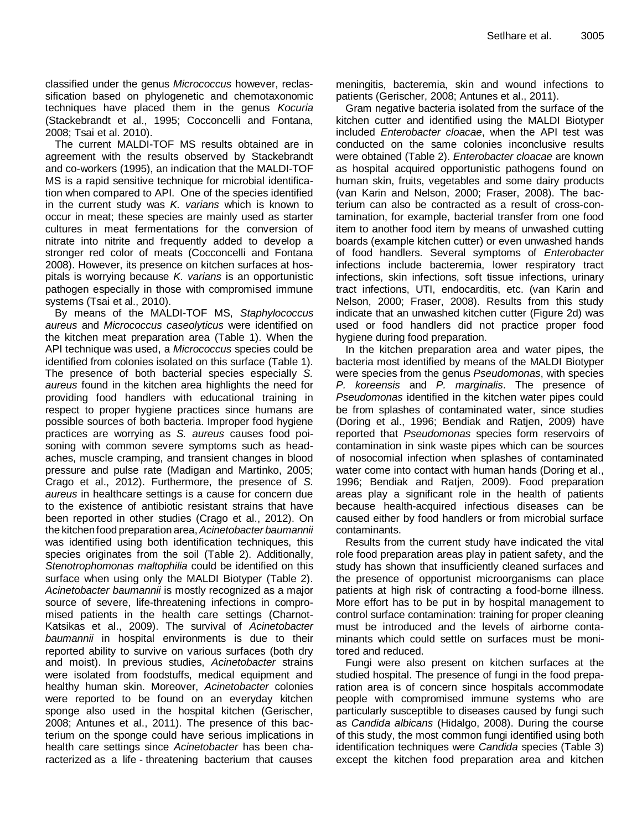classified under the genus *Micrococcus* however, reclassification based on phylogenetic and chemotaxonomic techniques have placed them in the genus *Kocuria* (Stackebrandt et al., 1995; Cocconcelli and Fontana, 2008; Tsai et al. 2010).

The current MALDI-TOF MS results obtained are in agreement with the results observed by Stackebrandt and co-workers (1995), an indication that the MALDI-TOF MS is a rapid sensitive technique for microbial identification when compared to API. One of the species identified in the current study was *K. varians* which is known to occur in meat; these species are mainly used as starter cultures in meat fermentations for the conversion of nitrate into nitrite and frequently added to develop a stronger red color of meats (Cocconcelli and Fontana 2008). However, its presence on kitchen surfaces at hospitals is worrying because *K. varians* is an opportunistic pathogen especially in those with compromised immune systems (Tsai et al., 2010).

By means of the MALDI-TOF MS, *Staphylococcus aureus* and *Micrococcus caseolyticus* were identified on the kitchen meat preparation area (Table 1). When the API technique was used, a *Micrococcus* species could be identified from colonies isolated on this surface (Table 1). The presence of both bacterial species especially *S. aureus* found in the kitchen area highlights the need for providing food handlers with educational training in respect to proper hygiene practices since humans are possible sources of both bacteria. Improper food hygiene practices are worrying as *S. aureus* causes food poisoning with common severe symptoms such as headaches, muscle cramping, and transient changes in blood pressure and pulse rate (Madigan and Martinko, 2005; Crago et al., 2012). Furthermore, the presence of *S. aureus* in healthcare settings is a cause for concern due to the existence of antibiotic resistant strains that have been reported in other studies (Crago et al., 2012). On the kitchenfood preparation area, *Acinetobacter baumannii* was identified using both identification techniques, this species originates from the soil (Table 2). Additionally, *Stenotrophomonas maltophilia* could be identified on this surface when using only the MALDI Biotyper (Table 2). *Acinetobacter baumannii* is mostly recognized as a major source of severe, life-threatening infections in compromised patients in the health care settings (Charnot-Katsikas et al., 2009). The survival of *Acinetobacter baumannii* in hospital environments is due to their reported ability to survive on various surfaces (both dry and moist). In previous studies, *Acinetobacter* strains were isolated from foodstuffs, medical equipment and healthy human skin. Moreover, *Acinetobacter* colonies were reported to be found on an everyday kitchen sponge also used in the hospital kitchen (Gerischer, 2008; Antunes et al., 2011). The presence of this bacterium on the sponge could have serious implications in health care settings since *Acinetobacter* has been characterized as a life - threatening bacterium that causes

meningitis, bacteremia, skin and wound infections to patients (Gerischer, 2008; Antunes et al., 2011).

Gram negative bacteria isolated from the surface of the kitchen cutter and identified using the MALDI Biotyper included *Enterobacter cloacae*, when the API test was conducted on the same colonies inconclusive results were obtained (Table 2). *Enterobacter cloacae* are known as hospital acquired opportunistic pathogens found on human skin, fruits, vegetables and some dairy products (van Karin and Nelson, 2000; Fraser, 2008). The bacterium can also be contracted as a result of cross-contamination, for example, bacterial transfer from one food item to another food item by means of unwashed cutting boards (example kitchen cutter) or even unwashed hands of food handlers. Several symptoms of *Enterobacter* infections include bacteremia, lower respiratory tract infections, skin infections, soft tissue infections, urinary tract infections, UTI, endocarditis, etc. (van Karin and Nelson, 2000; Fraser, 2008). Results from this study indicate that an unwashed kitchen cutter (Figure 2d) was used or food handlers did not practice proper food hygiene during food preparation.

In the kitchen preparation area and water pipes, the bacteria most identified by means of the MALDI Biotyper were species from the genus *Pseudomonas*, with species *P. koreensis* and *P. marginalis*. The presence of *Pseudomonas* identified in the kitchen water pipes could be from splashes of contaminated water, since studies (Doring et al., 1996; Bendiak and Ratjen, 2009) have reported that *Pseudomonas* species form reservoirs of contamination in sink waste pipes which can be sources of nosocomial infection when splashes of contaminated water come into contact with human hands (Doring et al., 1996; Bendiak and Ratjen, 2009). Food preparation areas play a significant role in the health of patients because health-acquired infectious diseases can be caused either by food handlers or from microbial surface contaminants.

Results from the current study have indicated the vital role food preparation areas play in patient safety, and the study has shown that insufficiently cleaned surfaces and the presence of opportunist microorganisms can place patients at high risk of contracting a food-borne illness. More effort has to be put in by hospital management to control surface contamination: training for proper cleaning must be introduced and the levels of airborne contaminants which could settle on surfaces must be monitored and reduced.

Fungi were also present on kitchen surfaces at the studied hospital. The presence of fungi in the food preparation area is of concern since hospitals accommodate people with compromised immune systems who are particularly susceptible to diseases caused by fungi such as *Candida albicans* (Hidalgo, 2008). During the course of this study, the most common fungi identified using both identification techniques were *Candida* species (Table 3) except the kitchen food preparation area and kitchen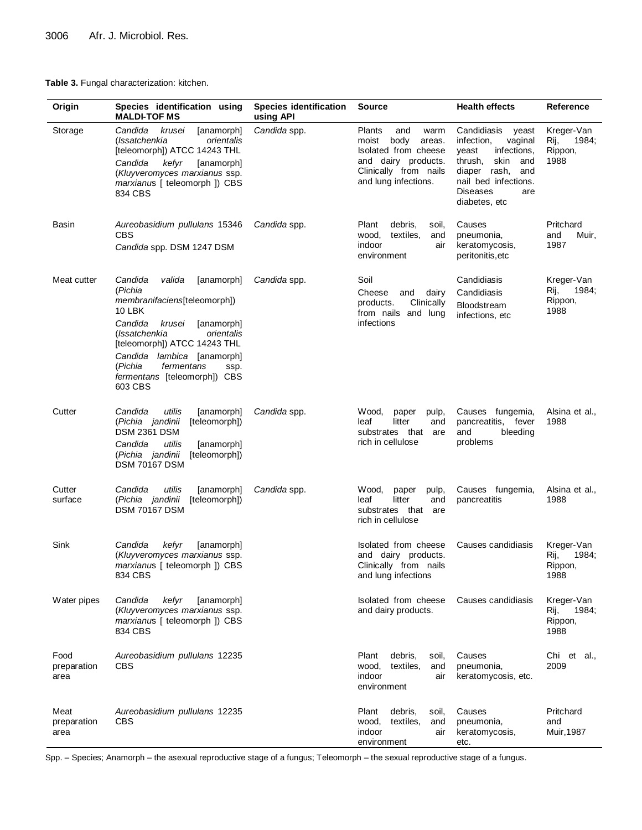## **Table 3.** Fungal characterization: kitchen.

| Origin                      | Species identification using<br><b>MALDI-TOF MS</b>                                                                                                                                                                                                                                                     | <b>Species identification</b><br>using API | <b>Source</b>                                                                                                                                    | <b>Health effects</b>                                                                                                                                                                  | Reference                                      |
|-----------------------------|---------------------------------------------------------------------------------------------------------------------------------------------------------------------------------------------------------------------------------------------------------------------------------------------------------|--------------------------------------------|--------------------------------------------------------------------------------------------------------------------------------------------------|----------------------------------------------------------------------------------------------------------------------------------------------------------------------------------------|------------------------------------------------|
| Storage                     | Candida<br>krusei<br>[anamorph]<br>orientalis<br>(Issatchenkia<br>[teleomorph]) ATCC 14243 THL<br>Candida<br>kefyr<br>[anamorph]<br>(Kluyveromyces marxianus ssp.<br>marxianus [ teleomorph ]) CBS<br>834 CBS                                                                                           | Candida spp.                               | Plants<br>and<br>warm<br>body<br>moist<br>areas.<br>Isolated from cheese<br>and dairy products.<br>Clinically from nails<br>and lung infections. | Candidiasis yeast<br>infection,<br>vaginal<br>infections,<br>yeast<br>skin<br>thrush,<br>and<br>diaper rash,<br>and<br>nail bed infections.<br><b>Diseases</b><br>are<br>diabetes, etc | Kreger-Van<br>Rij,<br>1984;<br>Rippon,<br>1988 |
| Basin                       | Aureobasidium pullulans 15346<br>CBS<br>Candida spp. DSM 1247 DSM                                                                                                                                                                                                                                       | Candida spp.                               | Plant<br>debris,<br>soil,<br>wood.<br>textiles,<br>and<br>indoor<br>air<br>environment                                                           | Causes<br>pneumonia,<br>keratomycosis,<br>peritonitis, etc                                                                                                                             | Pritchard<br>and<br>Muir,<br>1987              |
| Meat cutter                 | Candida<br>valida<br>[anamorph]<br>(Pichia<br>membranifaciens[teleomorph])<br><b>10 LBK</b><br>Candida<br>krusei<br>[anamorph]<br>(Issatchenkia<br>orientalis<br>[teleomorph]) ATCC 14243 THL<br>Candida lambica [anamorph]<br>(Pichia<br>fermentans<br>SSP.<br>fermentans [teleomorph]) CBS<br>603 CBS | Candida spp.                               | Soil<br>Cheese<br>and<br>dairy<br>products.<br>Clinically<br>from nails and lung<br>infections                                                   | Candidiasis<br>Candidiasis<br>Bloodstream<br>infections, etc.                                                                                                                          | Kreger-Van<br>1984;<br>Rij,<br>Rippon,<br>1988 |
| Cutter                      | Candida<br>utilis<br>[anamorph]<br>(Pichia jandinii<br>[teleomorph])<br><b>DSM 2361 DSM</b><br>Candida<br>utilis<br>[anamorph]<br>(Pichia jandinii<br>[teleomorph])<br><b>DSM 70167 DSM</b>                                                                                                             | Candida spp.                               | Wood,<br>paper<br>pulp,<br>litter<br>leaf<br>and<br>substrates<br>that<br>are<br>rich in cellulose                                               | Causes fungemia,<br>pancreatitis,<br>fever<br>and<br>bleeding<br>problems                                                                                                              | Alsina et al.,<br>1988                         |
| Cutter<br>surface           | Candida<br>utilis<br>[anamorph]<br>(Pichia jandinii<br>[teleomorph])<br><b>DSM 70167 DSM</b>                                                                                                                                                                                                            | Candida spp.                               | pulp,<br>Wood,<br>paper<br>litter<br>leaf<br>and<br>substrates that<br>are<br>rich in cellulose                                                  | Causes fungemia,<br>pancreatitis                                                                                                                                                       | Alsina et al.,<br>1988                         |
| Sink                        | Candida<br>kefyr<br>[anamorph]<br>(Kluyveromyces marxianus ssp.<br>marxianus [ teleomorph ]) CBS<br>834 CBS                                                                                                                                                                                             |                                            | Isolated from cheese<br>and dairy products.<br>Clinically from nails<br>and lung infections                                                      | Causes candidiasis                                                                                                                                                                     | Kreger-Van<br>Rij,<br>1984;<br>Rippon,<br>1988 |
| Water pipes                 | Candida<br>kefyr<br>[anamorph]<br>(Kluyveromyces marxianus ssp.<br><i>marxianus</i> [ teleomorph ]) CBS<br>834 CBS                                                                                                                                                                                      |                                            | Isolated from cheese<br>and dairy products.                                                                                                      | Causes candidiasis                                                                                                                                                                     | Kreger-Van<br>1984;<br>Rij,<br>Rippon,<br>1988 |
| Food<br>preparation<br>area | Aureobasidium pullulans 12235<br><b>CBS</b>                                                                                                                                                                                                                                                             |                                            | Plant<br>debris,<br>soil,<br>textiles,<br>wood,<br>and<br>indoor<br>air<br>environment                                                           | Causes<br>pneumonia,<br>keratomycosis, etc.                                                                                                                                            | Chi et al.,<br>2009                            |
| Meat<br>preparation<br>area | Aureobasidium pullulans 12235<br>CBS                                                                                                                                                                                                                                                                    |                                            | Plant<br>debris,<br>soil,<br>wood,<br>textiles.<br>and<br>indoor<br>air<br>environment                                                           | Causes<br>pneumonia,<br>keratomycosis,<br>etc.                                                                                                                                         | Pritchard<br>and<br>Muir, 1987                 |

Spp. – Species; Anamorph – the asexual reproductive stage of a fungus; Teleomorph – the sexual reproductive stage of a fungus.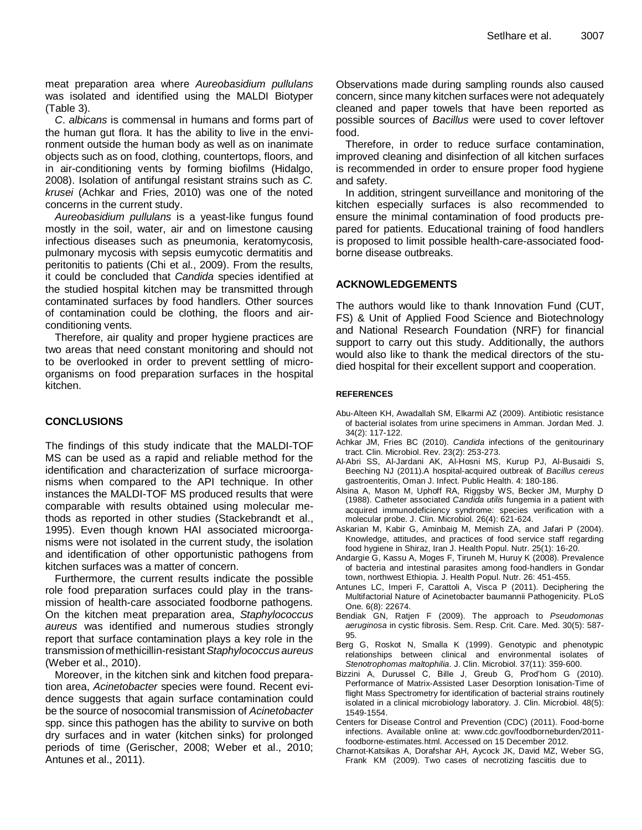meat preparation area where *Aureobasidium pullulans* was isolated and identified using the MALDI Biotyper (Table 3).

*C*. *albicans* is commensal in humans and forms part of the human gut flora. It has the ability to live in the environment outside the human body as well as on inanimate objects such as on food, clothing, countertops, floors, and in air-conditioning vents by forming biofilms (Hidalgo, 2008). Isolation of antifungal resistant strains such as *C. krusei* (Achkar and Fries, 2010) was one of the noted concerns in the current study.

*Aureobasidium pullulans* is a yeast-like fungus found mostly in the soil, water, air and on limestone causing infectious diseases such as pneumonia, keratomycosis, pulmonary mycosis with sepsis eumycotic dermatitis and peritonitis to patients (Chi et al., 2009). From the results, it could be concluded that *Candida* species identified at the studied hospital kitchen may be transmitted through contaminated surfaces by food handlers. Other sources of contamination could be clothing, the floors and airconditioning vents.

Therefore, air quality and proper hygiene practices are two areas that need constant monitoring and should not to be overlooked in order to prevent settling of microorganisms on food preparation surfaces in the hospital kitchen.

# **CONCLUSIONS**

The findings of this study indicate that the MALDI-TOF MS can be used as a rapid and reliable method for the identification and characterization of surface microorganisms when compared to the API technique. In other instances the MALDI-TOF MS produced results that were comparable with results obtained using molecular methods as reported in other studies (Stackebrandt et al., 1995). Even though known HAI associated microorganisms were not isolated in the current study, the isolation and identification of other opportunistic pathogens from kitchen surfaces was a matter of concern.

Furthermore, the current results indicate the possible role food preparation surfaces could play in the transmission of health-care associated foodborne pathogens. On the kitchen meat preparation area, *Staphylococcus aureus* was identified and numerous studies strongly report that surface contamination plays a key role in the transmission of methicillin-resistant*Staphylococcus aureus* (Weber et al., 2010).

Moreover, in the kitchen sink and kitchen food preparation area, *Acinetobacter* species were found. Recent evidence suggests that again surface contamination could be the source of nosocomial transmission of *Acinetobacter* spp. since this pathogen has the ability to survive on both dry surfaces and in water (kitchen sinks) for prolonged periods of time (Gerischer, 2008; Weber et al., 2010; Antunes et al., 2011).

Observations made during sampling rounds also caused concern, since many kitchen surfaces were not adequately cleaned and paper towels that have been reported as possible sources of *Bacillus* were used to cover leftover food.

Therefore, in order to reduce surface contamination, improved cleaning and disinfection of all kitchen surfaces is recommended in order to ensure proper food hygiene and safety.

In addition, stringent surveillance and monitoring of the kitchen especially surfaces is also recommended to ensure the minimal contamination of food products prepared for patients. Educational training of food handlers is proposed to limit possible health-care-associated foodborne disease outbreaks.

## **ACKNOWLEDGEMENTS**

The authors would like to thank Innovation Fund (CUT, FS) & Unit of Applied Food Science and Biotechnology and National Research Foundation (NRF) for financial support to carry out this study. Additionally, the authors would also like to thank the medical directors of the studied hospital for their excellent support and cooperation.

#### **REFERENCES**

- Abu-Alteen KH, Awadallah SM, Elkarmi AZ (2009). Antibiotic resistance of bacterial isolates from urine specimens in Amman. Jordan Med. J. 34(2): 117-122.
- Achkar JM, Fries BC (2010). *Candida* infections of the genitourinary tract. Clin. Microbiol. Rev. 23(2): 253-273.
- Al-Abri SS, Al-Jardani AK, Al-Hosni MS, Kurup PJ, Al-Busaidi S, Beeching NJ (2011).A hospital-acquired outbreak of *Bacillus cereus* gastroenteritis, Oman J. Infect. Public Health. 4: 180-186.
- Alsina A, Mason M, Uphoff RA, Riggsby WS, Becker JM, Murphy D (1988). Catheter associated *Candida utilis* fungemia in a patient with acquired immunodeficiency syndrome: species verification with a molecular probe*.* J. Clin. Microbiol*.* 26(4): 621-624.
- Askarian M, Kabir G, Aminbaig M, Memish ZA, and Jafari P (2004). Knowledge, attitudes, and practices of food service staff regarding food hygiene in Shiraz, Iran J. Health Popul. Nutr. 25(1): 16-20.
- Andargie G, Kassu A, Moges F, Tiruneh M, Huruy K (2008). Prevalence of bacteria and intestinal parasites among food-handlers in Gondar town, northwest Ethiopia. J. Health Popul. Nutr. 26: 451-455.
- Antunes LC, Imperi F, Carattoli A, Visca P (2011). Deciphering the Multifactorial Nature of Acinetobacter baumannii Pathogenicity. PLoS One. 6(8): 22674.
- Bendiak GN, Ratjen F (2009). The approach to *Pseudomonas aeruginosa* in cystic fibrosis. Sem. Resp. Crit. Care. Med. 30(5): 587- 95.
- Berg G, Roskot N, Smalla K (1999). Genotypic and phenotypic relationships between clinical and environmental isolates of *Stenotrophomas maltophilia*. J. Clin. Microbiol. 37(11): 359-600.
- Bizzini A, Durussel C, Bille J, Greub G, Prod'hom G (2010). Performance of Matrix-Assisted Laser Desorption Ionisation-Time of flight Mass Spectrometry for identification of bacterial strains routinely isolated in a clinical microbiology laboratory. J. Clin. Microbiol. 48(5): 1549-1554.
- Centers for Disease Control and Prevention (CDC) (2011). Food-borne infections. Available online at: [www.cdc.gov/foodborneburden/2011](http://www.cdc.gov/foodborneburden/2011-foodborne-estimates.html.%20Accessed%20on%2015) [foodborne-estimates.html. Accessed on 15](http://www.cdc.gov/foodborneburden/2011-foodborne-estimates.html.%20Accessed%20on%2015) December 2012.
- Charnot-Katsikas A, Dorafshar AH, Aycock JK, David MZ, Weber SG, Frank KM (2009). Two cases of necrotizing fasciitis due to